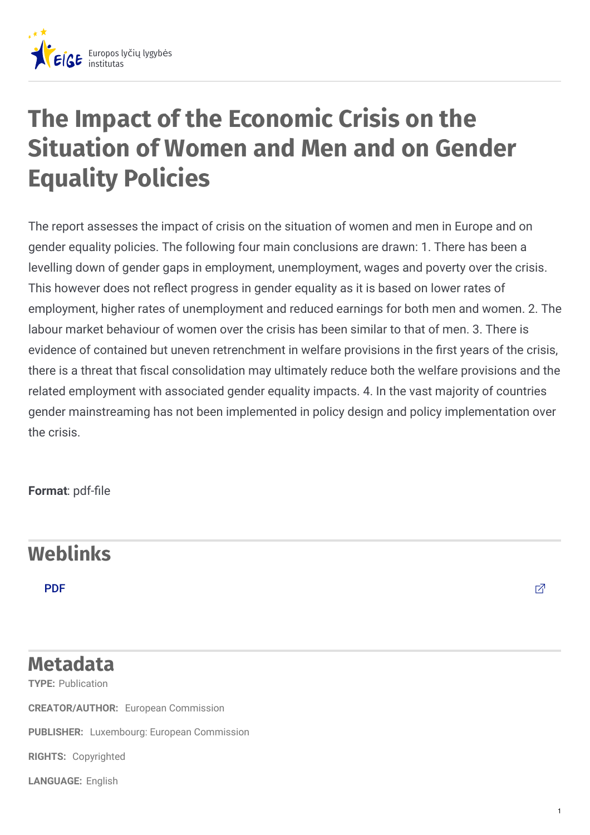

## **The Impact of the Economic Crisis on the Situation of Women and Men and on Gender Equality Policies**

The report assesses the impact of crisis on the situation of women and men in Europe and on gender equality policies. The following four main conclusions are drawn: 1. There has been a levelling down of gender gaps in employment, unemployment, wages and poverty over the crisis. This however does not reflect progress in gender equality as it is based on lower rates of employment, higher rates of unemployment and reduced earnings for both men and women. 2. The labour market behaviour of women over the crisis has been similar to that of men. 3. There is evidence of contained but uneven retrenchment in welfare provisions in the first vears of the crisis, there is a threat that fiscal consolidation may ultimately reduce both the welfare provisions and the related employment with associated gender equality impacts. 4. In the vast majority of countries gender mainstreaming has not been implemented in policy design and policy implementation over the crisis.

**Format: pdf-file** 

## **Weblinks**

[PDF](http://ec.europa.eu/justice/gender-equality/files/documents/130410_crisis_report_en.pdf) the contract of the contract of the contract of the contract of the contract of  $\mathbb Z$ 

1

## **TYPE:** Publication **Metadata**

**CREATOR/AUTHOR:** European Commission

**PUBLISHER:** Luxembourg: European Commission

**RIGHTS:** Copyrighted

**LANGUAGE:** English